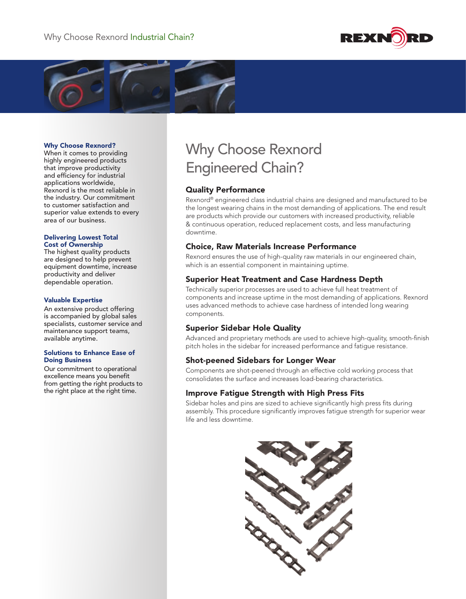



#### Why Choose Rexnord?

When it comes to providing highly engineered products that improve productivity and efficiency for industrial applications worldwide, Rexnord is the most reliable in the industry. Our commitment to customer satisfaction and superior value extends to every area of our business.

#### Delivering Lowest Total Cost of Ownership

The highest quality products are designed to help prevent equipment downtime, increase productivity and deliver dependable operation.

#### Valuable Expertise

An extensive product offering is accompanied by global sales specialists, customer service and maintenance support teams, available anytime.

#### Solutions to Enhance Ease of Doing Business

Our commitment to operational excellence means you benefit from getting the right products to the right place at the right time.

# Why Choose Rexnord Engineered Chain?

#### Quality Performance

Rexnord® engineered class industrial chains are designed and manufactured to be the longest wearing chains in the most demanding of applications. The end result are products which provide our customers with increased productivity, reliable & continuous operation, reduced replacement costs, and less manufacturing downtime.

## Choice, Raw Materials Increase Performance

Rexnord ensures the use of high-quality raw materials in our engineered chain, which is an essential component in maintaining uptime.

## Superior Heat Treatment and Case Hardness Depth

Technically superior processes are used to achieve full heat treatment of components and increase uptime in the most demanding of applications. Rexnord uses advanced methods to achieve case hardness of intended long wearing components.

## Superior Sidebar Hole Quality

Advanced and proprietary methods are used to achieve high-quality, smooth-finish pitch holes in the sidebar for increased performance and fatigue resistance.

#### Shot-peened Sidebars for Longer Wear

Components are shot-peened through an effective cold working process that consolidates the surface and increases load-bearing characteristics.

## Improve Fatigue Strength with High Press Fits

Sidebar holes and pins are sized to achieve significantly high press fits during assembly. This procedure significantly improves fatigue strength for superior wear life and less downtime.